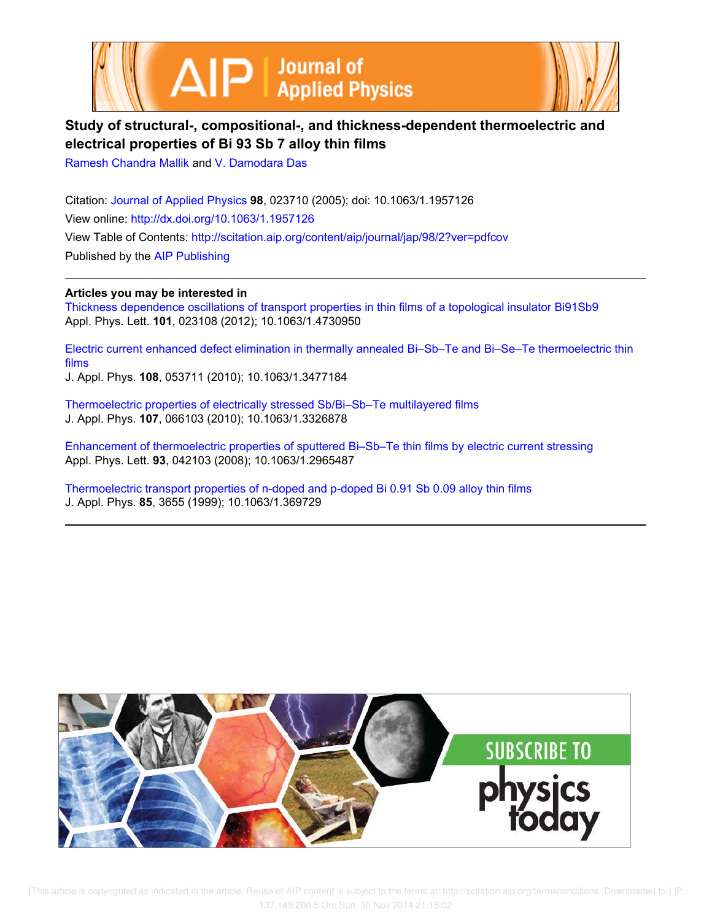



# **Study of structural-, compositional-, and thickness-dependent thermoelectric and electrical properties of Bi 93 Sb 7 alloy thin films**

Ramesh Chandra Mallik and V. Damodara Das

Citation: Journal of Applied Physics **98**, 023710 (2005); doi: 10.1063/1.1957126 View online: http://dx.doi.org/10.1063/1.1957126 View Table of Contents: http://scitation.aip.org/content/aip/journal/jap/98/2?ver=pdfcov Published by the AIP Publishing

**Articles you may be interested in**

Thickness dependence oscillations of transport properties in thin films of a topological insulator Bi91Sb9 Appl. Phys. Lett. **101**, 023108 (2012); 10.1063/1.4730950

Electric current enhanced defect elimination in thermally annealed Bi–Sb–Te and Bi–Se–Te thermoelectric thin films

J. Appl. Phys. **108**, 053711 (2010); 10.1063/1.3477184

Thermoelectric properties of electrically stressed Sb/Bi–Sb–Te multilayered films J. Appl. Phys. **107**, 066103 (2010); 10.1063/1.3326878

Enhancement of thermoelectric properties of sputtered Bi–Sb–Te thin films by electric current stressing Appl. Phys. Lett. **93**, 042103 (2008); 10.1063/1.2965487

Thermoelectric transport properties of n-doped and p-doped Bi 0.91 Sb 0.09 alloy thin films J. Appl. Phys. **85**, 3655 (1999); 10.1063/1.369729

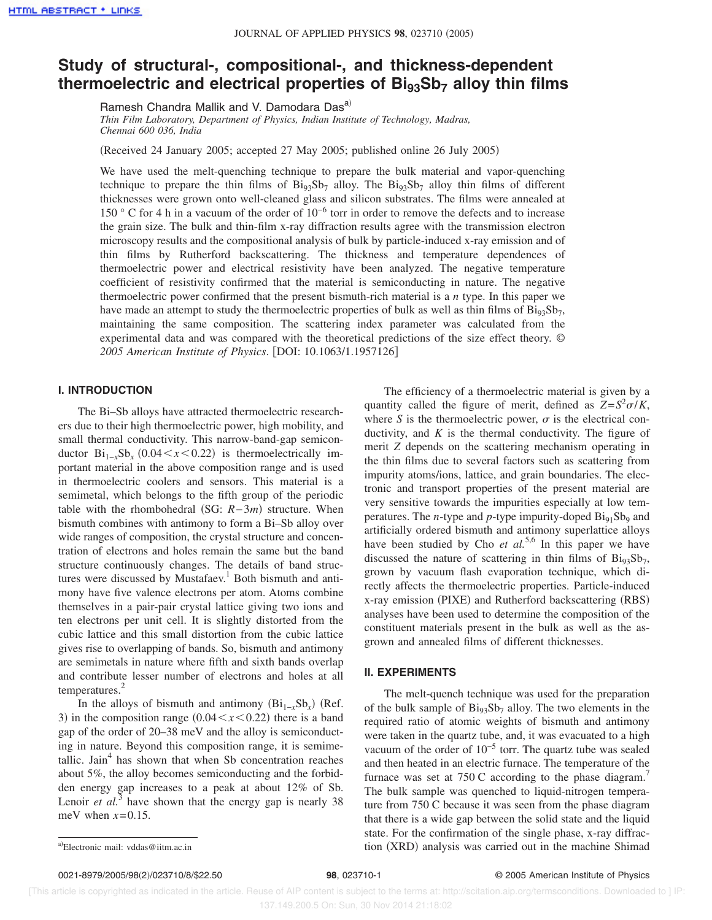# **Study of structural-, compositional-, and thickness-dependent thermoelectric and electrical properties of Bi93Sb<sup>7</sup> alloy thin films**

Ramesh Chandra Mallik and V. Damodara Dasa)

*Thin Film Laboratory, Department of Physics, Indian Institute of Technology, Madras, Chennai 600 036, India*

Received 24 January 2005; accepted 27 May 2005; published online 26 July 2005-

We have used the melt-quenching technique to prepare the bulk material and vapor-quenching technique to prepare the thin films of  $Bi_{93}Sb_7$  alloy. The  $Bi_{93}Sb_7$  alloy thin films of different thicknesses were grown onto well-cleaned glass and silicon substrates. The films were annealed at 150 ° C for 4 h in a vacuum of the order of 10−6 torr in order to remove the defects and to increase the grain size. The bulk and thin-film x-ray diffraction results agree with the transmission electron microscopy results and the compositional analysis of bulk by particle-induced x-ray emission and of thin films by Rutherford backscattering. The thickness and temperature dependences of thermoelectric power and electrical resistivity have been analyzed. The negative temperature coefficient of resistivity confirmed that the material is semiconducting in nature. The negative thermoelectric power confirmed that the present bismuth-rich material is a *n* type. In this paper we have made an attempt to study the thermoelectric properties of bulk as well as thin films of  $\text{Bi}_{93}\text{Sb}_7$ , maintaining the same composition. The scattering index parameter was calculated from the experimental data and was compared with the theoretical predictions of the size effect theory. © *2005 American Institute of Physics*. DOI: 10.1063/1.1957126

### **I. INTRODUCTION**

The Bi–Sb alloys have attracted thermoelectric researchers due to their high thermoelectric power, high mobility, and small thermal conductivity. This narrow-band-gap semiconductor  $\text{Bi}_{1-x}\text{Sb}_x$  (0.04  $\lt x \lt 0.22$ ) is thermoelectrically important material in the above composition range and is used in thermoelectric coolers and sensors. This material is a semimetal, which belongs to the fifth group of the periodic table with the rhombohedral (SG: *R*−3*m*) structure. When bismuth combines with antimony to form a Bi–Sb alloy over wide ranges of composition, the crystal structure and concentration of electrons and holes remain the same but the band structure continuously changes. The details of band structures were discussed by Mustafaev.<sup>1</sup> Both bismuth and antimony have five valence electrons per atom. Atoms combine themselves in a pair-pair crystal lattice giving two ions and ten electrons per unit cell. It is slightly distorted from the cubic lattice and this small distortion from the cubic lattice gives rise to overlapping of bands. So, bismuth and antimony are semimetals in nature where fifth and sixth bands overlap and contribute lesser number of electrons and holes at all temperatures.<sup>2</sup>

In the alloys of bismuth and antimony  $(Bi_{1-x}Sb_x)$  (Ref. 3) in the composition range  $(0.04 \le x \le 0.22)$  there is a band gap of the order of 20–38 meV and the alloy is semiconducting in nature. Beyond this composition range, it is semimetallic. Jain<sup>4</sup> has shown that when Sb concentration reaches about 5%, the alloy becomes semiconducting and the forbidden energy gap increases to a peak at about 12% of Sb. Lenoir *et al.*<sup>3</sup> have shown that the energy gap is nearly 38 meV when  $x=0.15$ .

The efficiency of a thermoelectric material is given by a quantity called the figure of merit, defined as  $Z = S^2 \sigma/K$ , where S is the thermoelectric power,  $\sigma$  is the electrical conductivity, and  $K$  is the thermal conductivity. The figure of merit *Z* depends on the scattering mechanism operating in the thin films due to several factors such as scattering from impurity atoms/ions, lattice, and grain boundaries. The electronic and transport properties of the present material are very sensitive towards the impurities especially at low temperatures. The *n*-type and *p*-type impurity-doped  $\text{Bi}_{91}\text{Sb}_9$  and artificially ordered bismuth and antimony superlattice alloys have been studied by Cho *et al.*<sup>5,6</sup> In this paper we have discussed the nature of scattering in thin films of  $\text{Bi}_{93}\text{Sb}_7$ , grown by vacuum flash evaporation technique, which directly affects the thermoelectric properties. Particle-induced x-ray emission (PIXE) and Rutherford backscattering (RBS) analyses have been used to determine the composition of the constituent materials present in the bulk as well as the asgrown and annealed films of different thicknesses.

## **II. EXPERIMENTS**

The melt-quench technique was used for the preparation of the bulk sample of  $Bi_{93}Sb_7$  alloy. The two elements in the required ratio of atomic weights of bismuth and antimony were taken in the quartz tube, and, it was evacuated to a high vacuum of the order of 10−5 torr. The quartz tube was sealed and then heated in an electric furnace. The temperature of the furnace was set at 750 C according to the phase diagram.<sup>7</sup> The bulk sample was quenched to liquid-nitrogen temperature from 750 C because it was seen from the phase diagram that there is a wide gap between the solid state and the liquid state. For the confirmation of the single phase, x-ray diffraca) Electronic mail: vddas @iitm.ac.in **analysis in the machine Shimad** and tion (XRD) analysis was carried out in the machine Shimad

0021-8979/2005/98(2)/023710/8/\$22.50

Electronic mail: vddas@iitm.ac.in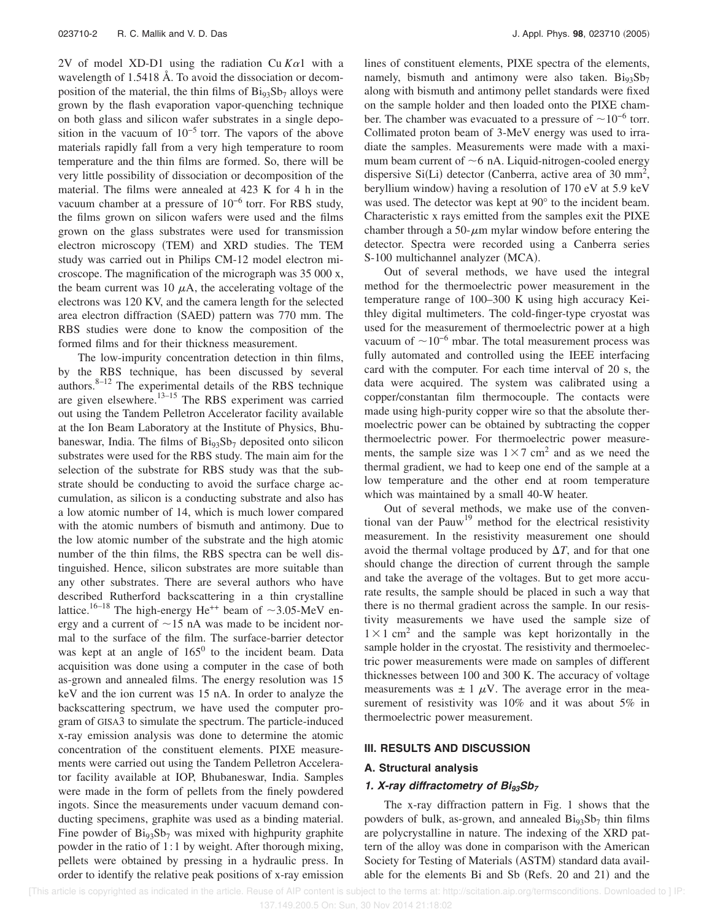2V of model XD-D1 using the radiation Cu  $K\alpha$ 1 with a wavelength of 1.5418 Å. To avoid the dissociation or decomposition of the material, the thin films of  $Bi_{93}Sb_7$  alloys were grown by the flash evaporation vapor-quenching technique on both glass and silicon wafer substrates in a single deposition in the vacuum of  $10^{-5}$  torr. The vapors of the above materials rapidly fall from a very high temperature to room temperature and the thin films are formed. So, there will be very little possibility of dissociation or decomposition of the material. The films were annealed at 423 K for 4 h in the vacuum chamber at a pressure of 10−6 torr. For RBS study, the films grown on silicon wafers were used and the films grown on the glass substrates were used for transmission electron microscopy (TEM) and XRD studies. The TEM study was carried out in Philips CM-12 model electron microscope. The magnification of the micrograph was 35 000 x, the beam current was 10  $\mu$ A, the accelerating voltage of the electrons was 120 KV, and the camera length for the selected area electron diffraction (SAED) pattern was 770 mm. The RBS studies were done to know the composition of the formed films and for their thickness measurement.

The low-impurity concentration detection in thin films, by the RBS technique, has been discussed by several authors. $8-12$  The experimental details of the RBS technique are given elsewhere.<sup>13-15</sup> The RBS experiment was carried out using the Tandem Pelletron Accelerator facility available at the Ion Beam Laboratory at the Institute of Physics, Bhubaneswar, India. The films of  $Bi_{93}Sb_7$  deposited onto silicon substrates were used for the RBS study. The main aim for the selection of the substrate for RBS study was that the substrate should be conducting to avoid the surface charge accumulation, as silicon is a conducting substrate and also has a low atomic number of 14, which is much lower compared with the atomic numbers of bismuth and antimony. Due to the low atomic number of the substrate and the high atomic number of the thin films, the RBS spectra can be well distinguished. Hence, silicon substrates are more suitable than any other substrates. There are several authors who have described Rutherford backscattering in a thin crystalline lattice.<sup>16–18</sup> The high-energy He<sup>++</sup> beam of  $\sim$ 3.05-MeV energy and a current of  $\sim$ 15 nA was made to be incident normal to the surface of the film. The surface-barrier detector was kept at an angle of  $165^{\circ}$  to the incident beam. Data acquisition was done using a computer in the case of both as-grown and annealed films. The energy resolution was 15 keV and the ion current was 15 nA. In order to analyze the backscattering spectrum, we have used the computer program of GISA3 to simulate the spectrum. The particle-induced x-ray emission analysis was done to determine the atomic concentration of the constituent elements. PIXE measurements were carried out using the Tandem Pelletron Accelerator facility available at IOP, Bhubaneswar, India. Samples were made in the form of pellets from the finely powdered ingots. Since the measurements under vacuum demand conducting specimens, graphite was used as a binding material. Fine powder of  $Bi_{93}Sb_7$  was mixed with highpurity graphite powder in the ratio of 1:1 by weight. After thorough mixing, pellets were obtained by pressing in a hydraulic press. In order to identify the relative peak positions of x-ray emission

lines of constituent elements, PIXE spectra of the elements, namely, bismuth and antimony were also taken.  $Bi_{93}Sb_7$ along with bismuth and antimony pellet standards were fixed on the sample holder and then loaded onto the PIXE chamber. The chamber was evacuated to a pressure of  $\sim 10^{-6}$  torr. Collimated proton beam of 3-MeV energy was used to irradiate the samples. Measurements were made with a maximum beam current of  $\sim$  6 nA. Liquid-nitrogen-cooled energy dispersive Si(Li) detector (Canberra, active area of 30 mm<sup>2</sup>, beryllium window) having a resolution of 170 eV at 5.9 keV was used. The detector was kept at 90° to the incident beam. Characteristic x rays emitted from the samples exit the PIXE chamber through a 50- $\mu$ m mylar window before entering the detector. Spectra were recorded using a Canberra series S-100 multichannel analyzer (MCA).

Out of several methods, we have used the integral method for the thermoelectric power measurement in the temperature range of 100–300 K using high accuracy Keithley digital multimeters. The cold-finger-type cryostat was used for the measurement of thermoelectric power at a high vacuum of  $\sim$ 10<sup>−6</sup> mbar. The total measurement process was fully automated and controlled using the IEEE interfacing card with the computer. For each time interval of 20 s, the data were acquired. The system was calibrated using a copper/constantan film thermocouple. The contacts were made using high-purity copper wire so that the absolute thermoelectric power can be obtained by subtracting the copper thermoelectric power. For thermoelectric power measurements, the sample size was  $1 \times 7$  cm<sup>2</sup> and as we need the thermal gradient, we had to keep one end of the sample at a low temperature and the other end at room temperature which was maintained by a small 40-W heater.

Out of several methods, we make use of the conventional van der Pauw<sup>19</sup> method for the electrical resistivity measurement. In the resistivity measurement one should avoid the thermal voltage produced by  $\Delta T$ , and for that one should change the direction of current through the sample and take the average of the voltages. But to get more accurate results, the sample should be placed in such a way that there is no thermal gradient across the sample. In our resistivity measurements we have used the sample size of  $1 \times 1$  cm<sup>2</sup> and the sample was kept horizontally in the sample holder in the cryostat. The resistivity and thermoelectric power measurements were made on samples of different thicknesses between 100 and 300 K. The accuracy of voltage measurements was  $\pm 1 \mu V$ . The average error in the measurement of resistivity was 10% and it was about 5% in thermoelectric power measurement.

### **III. RESULTS AND DISCUSSION**

#### **A. Structural analysis**

### **1.**  $X$ -ray diffractometry of  $Bi_{93}Sb_7$

The x-ray diffraction pattern in Fig. 1 shows that the powders of bulk, as-grown, and annealed  $\text{Bi}_{93}\text{Sb}_7$  thin films are polycrystalline in nature. The indexing of the XRD pattern of the alloy was done in comparison with the American Society for Testing of Materials (ASTM) standard data available for the elements Bi and Sb (Refs. 20 and 21) and the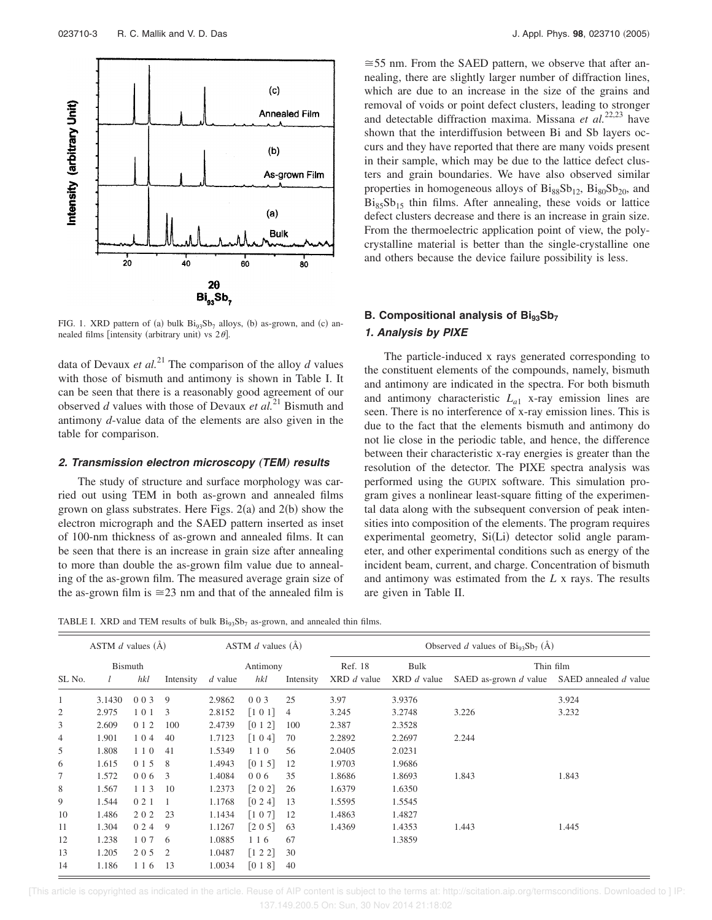

FIG. 1. XRD pattern of (a) bulk  $\text{Bi}_{93}\text{Sb}_7$  alloys, (b) as-grown, and (c) annealed films [intensity (arbitrary unit) vs  $2\theta$ ].

data of Devaux *et al.*<sup>21</sup> The comparison of the alloy  $d$  values with those of bismuth and antimony is shown in Table I. It can be seen that there is a reasonably good agreement of our observed *d* values with those of Devaux *et al.*<sup>21</sup> Bismuth and antimony *d*-value data of the elements are also given in the table for comparison.

### **2. Transmission electron microscopy** "**TEM**… **results**

The study of structure and surface morphology was carried out using TEM in both as-grown and annealed films grown on glass substrates. Here Figs.  $2(a)$  and  $2(b)$  show the electron micrograph and the SAED pattern inserted as inset of 100-nm thickness of as-grown and annealed films. It can be seen that there is an increase in grain size after annealing to more than double the as-grown film value due to annealing of the as-grown film. The measured average grain size of the as-grown film is  $\approx 23$  nm and that of the annealed film is

 $\approx$  55 nm. From the SAED pattern, we observe that after annealing, there are slightly larger number of diffraction lines, which are due to an increase in the size of the grains and removal of voids or point defect clusters, leading to stronger and detectable diffraction maxima. Missana *et al.*22,23 have shown that the interdiffusion between Bi and Sb layers occurs and they have reported that there are many voids present in their sample, which may be due to the lattice defect clusters and grain boundaries. We have also observed similar properties in homogeneous alloys of  $Bi_{88}Sb_{12}$ ,  $Bi_{80}Sb_{20}$ , and  $Bi_{85}Sb_{15}$  thin films. After annealing, these voids or lattice defect clusters decrease and there is an increase in grain size. From the thermoelectric application point of view, the polycrystalline material is better than the single-crystalline one and others because the device failure possibility is less.

## **B. Compositional analysis of Bi93Sb<sup>7</sup> 1. Analysis by PIXE**

The particle-induced x rays generated corresponding to the constituent elements of the compounds, namely, bismuth and antimony are indicated in the spectra. For both bismuth and antimony characteristic *L<sup>a</sup>*<sup>1</sup> x-ray emission lines are seen. There is no interference of x-ray emission lines. This is due to the fact that the elements bismuth and antimony do not lie close in the periodic table, and hence, the difference between their characteristic x-ray energies is greater than the resolution of the detector. The PIXE spectra analysis was performed using the GUPIX software. This simulation program gives a nonlinear least-square fitting of the experimental data along with the subsequent conversion of peak intensities into composition of the elements. The program requires experimental geometry, Si(Li) detector solid angle parameter, and other experimental conditions such as energy of the incident beam, current, and charge. Concentration of bismuth and antimony was estimated from the *L* x rays. The results are given in Table II.

TABLE I. XRD and TEM results of bulk  $Bi_{93}Sb_7$  as-grown, and annealed thin films.

|                | ASTM $d$ values $(A)$ |       |                         |           | ASTM $d$ values $(A)$     |           |                 | Observed d values of $\text{Bi}_{93}\text{Sb}_7$ (Å) |                                             |       |  |
|----------------|-----------------------|-------|-------------------------|-----------|---------------------------|-----------|-----------------|------------------------------------------------------|---------------------------------------------|-------|--|
|                | Bismuth               |       |                         | Antimony  |                           |           | Ref. 18<br>Bulk |                                                      | Thin film                                   |       |  |
| SL No.         |                       | hkl   | Intensity               | $d$ value | hkl                       | Intensity | $XRD$ d value   | $XRD$ d value                                        | SAED as-grown d value SAED annealed d value |       |  |
| 1              | 3.1430                | 003   | 9                       | 2.9862    | 003                       | 25        | 3.97            | 3.9376                                               |                                             | 3.924 |  |
| $\overline{c}$ | 2.975                 | 101   | 3                       | 2.8152    | [1 0 1]                   | 4         | 3.245           | 3.2748                                               | 3.226                                       | 3.232 |  |
| 3              | 2.609                 | 0 1 2 | 100                     | 2.4739    | [0 1 2]                   | 100       | 2.387           | 2.3528                                               |                                             |       |  |
| $\overline{4}$ | 1.901                 | 104   | 40                      | 1.7123    | [104]                     | 70        | 2.2892          | 2.2697                                               | 2.244                                       |       |  |
| 5              | 1.808                 | 110   | 41                      | 1.5349    | 110                       | 56        | 2.0405          | 2.0231                                               |                                             |       |  |
| 6              | 1.615                 | 0 1 5 | 8                       | 1.4943    | [0 1 5]                   | 12        | 1.9703          | 1.9686                                               |                                             |       |  |
| 7              | 1.572                 | 006   | $\overline{\mathbf{3}}$ | 1.4084    | 006                       | 35        | 1.8686          | 1.8693                                               | 1.843                                       | 1.843 |  |
| 8              | 1.567                 | 1 1 3 | 10                      | 1.2373    | $[2 0 2]$                 | 26        | 1.6379          | 1.6350                                               |                                             |       |  |
| 9              | 1.544                 | 021   |                         | 1.1768    | $\lceil 0\ 2\ 4 \rceil$   | 13        | 1.5595          | 1.5545                                               |                                             |       |  |
| 10             | 1.486                 | 202   | 23                      | 1.1434    | [1 0 7]                   | 12        | 1.4863          | 1.4827                                               |                                             |       |  |
| 11             | 1.304                 | 0 2 4 | 9                       | 1.1267    | [205]                     | 63        | 1.4369          | 1.4353                                               | 1.443                                       | 1.445 |  |
| 12             | 1.238                 | 107   | -6                      | 1.0885    | 1 1 6                     | 67        |                 | 1.3859                                               |                                             |       |  |
| 13             | 1.205                 | 205   | $\overline{2}$          | 1.0487    | $\lceil 1 \ 2 \ 2 \rceil$ | 30        |                 |                                                      |                                             |       |  |
| 14             | 1.186                 | 1 1 6 | 13                      | 1.0034    | [018]                     | 40        |                 |                                                      |                                             |       |  |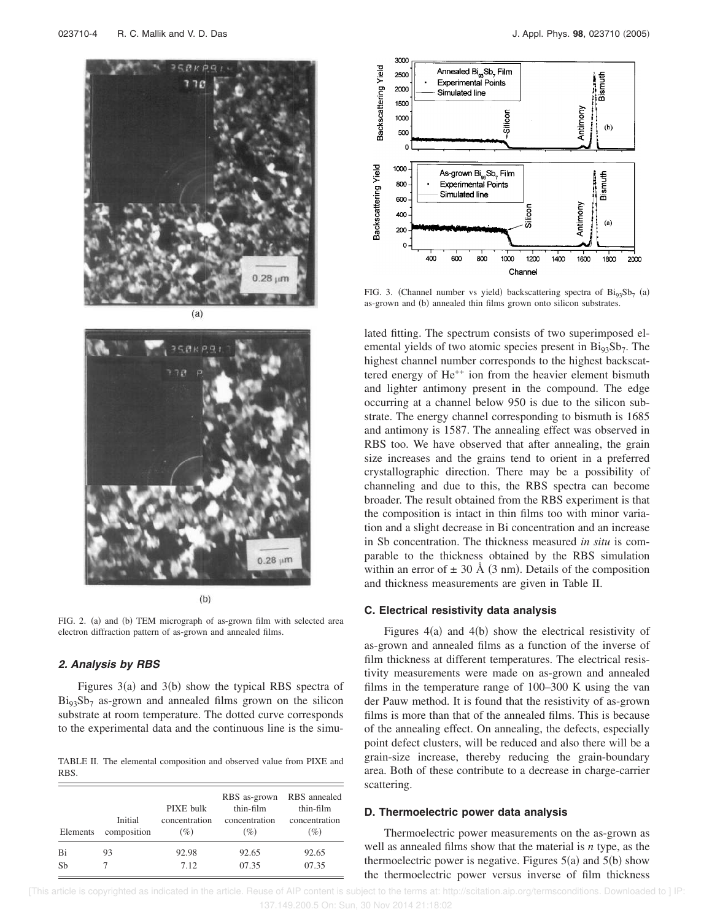



 $(b)$ 

FIG. 2. (a) and (b) TEM micrograph of as-grown film with selected area electron diffraction pattern of as-grown and annealed films.

### **2. Analysis by RBS**

Figures  $3(a)$  and  $3(b)$  show the typical RBS spectra of  $Bi_{93}Sb_7$  as-grown and annealed films grown on the silicon substrate at room temperature. The dotted curve corresponds to the experimental data and the continuous line is the simu-

TABLE II. The elemental composition and observed value from PIXE and RBS.

| Elements | Initial<br>composition | PIXE bulk<br>concentration<br>(%) | RBS as-grown RBS annealed<br>thin-film<br>concentration<br>(%) | thin-film<br>concentration<br>$(\%)$ |
|----------|------------------------|-----------------------------------|----------------------------------------------------------------|--------------------------------------|
| Bi       | 93                     | 92.98                             | 92.65                                                          | 92.65                                |
| Sh       |                        | 7.12                              | 07.35                                                          | 07.35                                |



FIG. 3. (Channel number vs yield) backscattering spectra of  $\text{Bi}_{93}\text{Sb}_7$  (a) as-grown and (b) annealed thin films grown onto silicon substrates.

lated fitting. The spectrum consists of two superimposed elemental yields of two atomic species present in  $\text{Bi}_{93}\text{Sb}_7$ . The highest channel number corresponds to the highest backscattered energy of He<sup>++</sup> ion from the heavier element bismuth and lighter antimony present in the compound. The edge occurring at a channel below 950 is due to the silicon substrate. The energy channel corresponding to bismuth is 1685 and antimony is 1587. The annealing effect was observed in RBS too. We have observed that after annealing, the grain size increases and the grains tend to orient in a preferred crystallographic direction. There may be a possibility of channeling and due to this, the RBS spectra can become broader. The result obtained from the RBS experiment is that the composition is intact in thin films too with minor variation and a slight decrease in Bi concentration and an increase in Sb concentration. The thickness measured *in situ* is comparable to the thickness obtained by the RBS simulation within an error of  $\pm$  30 Å (3 nm). Details of the composition and thickness measurements are given in Table II.

### **C. Electrical resistivity data analysis**

Figures  $4(a)$  and  $4(b)$  show the electrical resistivity of as-grown and annealed films as a function of the inverse of film thickness at different temperatures. The electrical resistivity measurements were made on as-grown and annealed films in the temperature range of 100–300 K using the van der Pauw method. It is found that the resistivity of as-grown films is more than that of the annealed films. This is because of the annealing effect. On annealing, the defects, especially point defect clusters, will be reduced and also there will be a grain-size increase, thereby reducing the grain-boundary area. Both of these contribute to a decrease in charge-carrier scattering.

### **D. Thermoelectric power data analysis**

Thermoelectric power measurements on the as-grown as well as annealed films show that the material is *n* type, as the thermoelectric power is negative. Figures  $5(a)$  and  $5(b)$  show the thermoelectric power versus inverse of film thickness

 [This article is copyrighted as indicated in the article. Reuse of AIP content is subject to the terms at: http://scitation.aip.org/termsconditions. Downloaded to ] IP: 137.149.200.5 On: Sun, 30 Nov 2014 21:18:02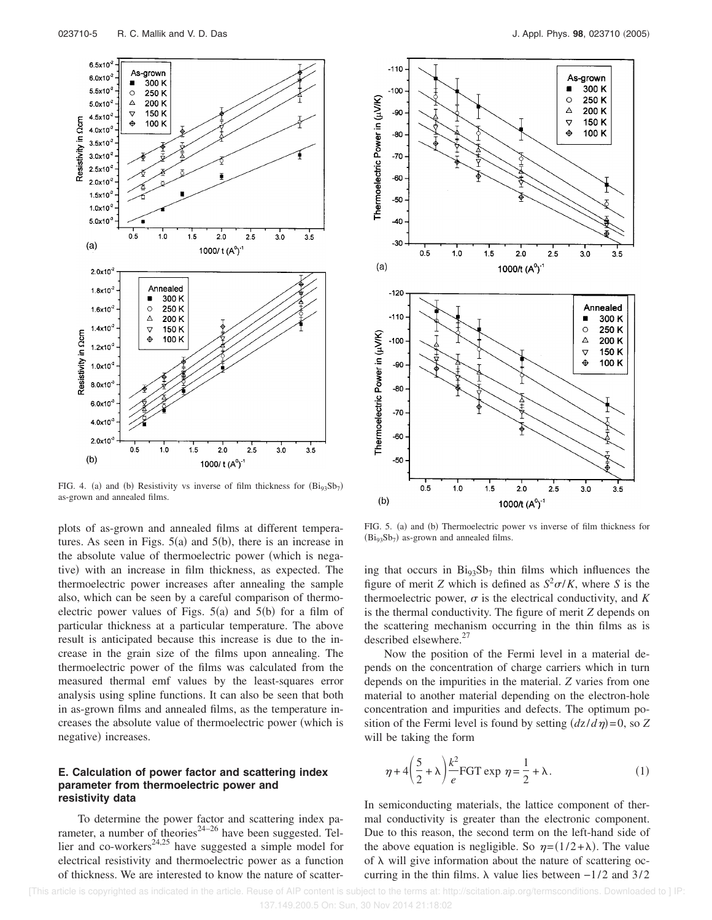

FIG. 4. (a) and (b) Resistivity vs inverse of film thickness for  $(Bi_{93}Sb_7)$ as-grown and annealed films.

plots of as-grown and annealed films at different temperatures. As seen in Figs.  $5(a)$  and  $5(b)$ , there is an increase in the absolute value of thermoelectric power (which is negative) with an increase in film thickness, as expected. The thermoelectric power increases after annealing the sample also, which can be seen by a careful comparison of thermoelectric power values of Figs.  $5(a)$  and  $5(b)$  for a film of particular thickness at a particular temperature. The above result is anticipated because this increase is due to the increase in the grain size of the films upon annealing. The thermoelectric power of the films was calculated from the measured thermal emf values by the least-squares error analysis using spline functions. It can also be seen that both in as-grown films and annealed films, as the temperature increases the absolute value of thermoelectric power (which is negative) increases.

### **E. Calculation of power factor and scattering index parameter from thermoelectric power and resistivity data**

To determine the power factor and scattering index parameter, a number of theories<sup>24–26</sup> have been suggested. Tellier and co-workers $^{24,25}$  have suggested a simple model for electrical resistivity and thermoelectric power as a function of thickness. We are interested to know the nature of scatter-



FIG. 5. (a) and (b) Thermoelectric power vs inverse of film thickness for  $\left(Bi_{93}Sb_7\right)$  as-grown and annealed films.

ing that occurs in  $\text{Bi}_{93}\text{Sb}_7$  thin films which influences the figure of merit *Z* which is defined as  $S^2 \sigma/K$ , where *S* is the thermoelectric power,  $\sigma$  is the electrical conductivity, and *K* is the thermal conductivity. The figure of merit *Z* depends on the scattering mechanism occurring in the thin films as is described elsewhere. $^{27}$ 

Now the position of the Fermi level in a material depends on the concentration of charge carriers which in turn depends on the impurities in the material. *Z* varies from one material to another material depending on the electron-hole concentration and impurities and defects. The optimum position of the Fermi level is found by setting  $\left(\frac{dz}{d\eta}\right) = 0$ , so *Z* will be taking the form

$$
\eta + 4\left(\frac{5}{2} + \lambda\right)\frac{k^2}{e}\text{FGT} \exp \eta = \frac{1}{2} + \lambda. \tag{1}
$$

In semiconducting materials, the lattice component of thermal conductivity is greater than the electronic component. Due to this reason, the second term on the left-hand side of the above equation is negligible. So  $\eta = (1/2 + \lambda)$ . The value of  $\lambda$  will give information about the nature of scattering occurring in the thin films.  $\lambda$  value lies between  $-1/2$  and 3/2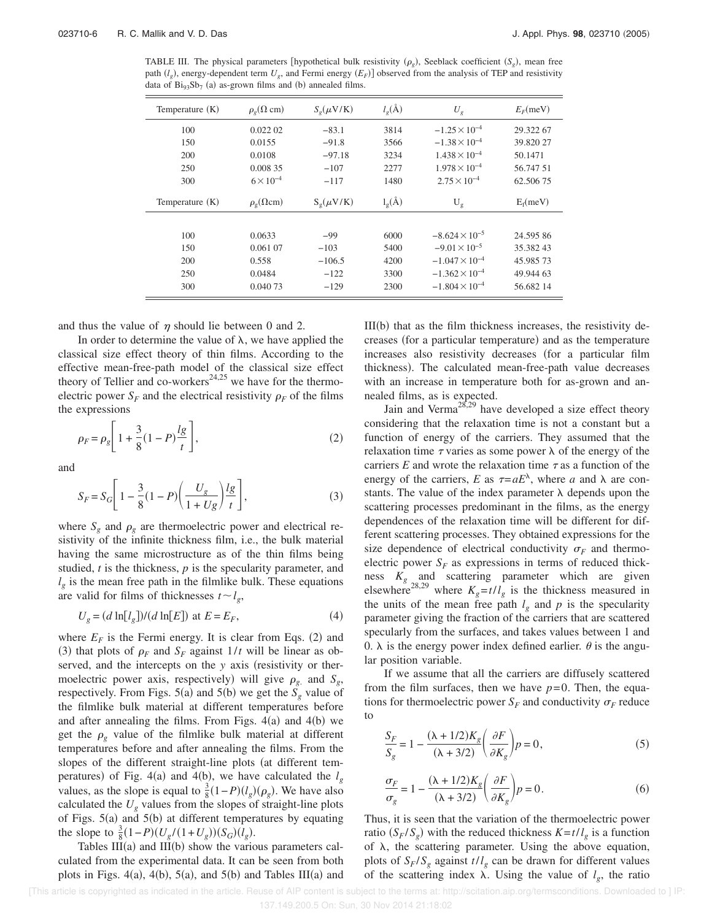TABLE III. The physical parameters [hypothetical bulk resistivity  $(\rho_g)$ , Seeblack coefficient  $(S_g)$ , mean free path  $(l_g)$ , energy-dependent term  $U_g$ , and Fermi energy  $(E_F)$  observed from the analysis of TEP and resistivity data of  $\text{Bi}_{93}\text{Sb}_7$  (a) as-grown films and (b) annealed films.

| Temperature $(K)$ | $\rho_{\rho}(\Omega \text{ cm})$ | $S_{\rho}(\mu V/K)$    | $l_{\rm g}(\AA)$   | $U_{\varrho}$           | $E_F$ (meV) |
|-------------------|----------------------------------|------------------------|--------------------|-------------------------|-------------|
| 100               | 0.022 02                         | $-83.1$                | 3814               | $-1.25 \times 10^{-4}$  | 29.322 67   |
| 150               | 0.0155                           | $-91.8$                | 3566               | $-1.38 \times 10^{-4}$  | 39.820 27   |
| 200               | 0.0108                           | $-97.18$               | 3234               | $1.438 \times 10^{-4}$  | 50.1471     |
| 250               | 0.008 35                         | $-107$                 | 2277               | $1.978 \times 10^{-4}$  | 56.747 51   |
| 300               | $6 \times 10^{-4}$               | $-117$                 | 1480               | $2.75 \times 10^{-4}$   | 62.50675    |
| Temperature $(K)$ | $\rho_{\rm o}(\Omega \, \rm cm)$ | $S_{\varphi}(\mu V/K)$ | $l_{\varrho}(\AA)$ | $U_{\rm g}$             | $E_f$ (meV) |
|                   |                                  |                        |                    |                         |             |
| 100               | 0.0633                           | $-99$                  | 6000               | $-8.624 \times 10^{-5}$ | 24.59586    |
| 150               | 0.061 07                         | $-103$                 | 5400               | $-9.01 \times 10^{-5}$  | 35.38243    |
| 200               | 0.558                            | $-106.5$               | 4200               | $-1.047 \times 10^{-4}$ | 45.98573    |
| 250               | 0.0484                           | $-122$                 | 3300               | $-1.362 \times 10^{-4}$ | 49.944 63   |
| 300               | 0.040 73                         | $-129$                 | 2300               | $-1.804 \times 10^{-4}$ | 56.682 14   |

and thus the value of  $\eta$  should lie between 0 and 2.

In order to determine the value of  $\lambda$ , we have applied the classical size effect theory of thin films. According to the effective mean-free-path model of the classical size effect theory of Tellier and co-workers<sup>24,25</sup> we have for the thermoelectric power  $S_F$  and the electrical resistivity  $\rho_F$  of the films the expressions

$$
\rho_F = \rho_g \left[ 1 + \frac{3}{8} (1 - P) \frac{lg}{t} \right],\tag{2}
$$

and

$$
S_F = S_G \left[ 1 - \frac{3}{8} (1 - P) \left( \frac{U_g}{1 + U_g} \right) \frac{lg}{t} \right],
$$
 (3)

where  $S_g$  and  $\rho_g$  are thermoelectric power and electrical resistivity of the infinite thickness film, i.e., the bulk material having the same microstructure as of the thin films being studied, *t* is the thickness, *p* is the specularity parameter, and  $l_g$  is the mean free path in the filmlike bulk. These equations are valid for films of thicknesses  $t \sim l_g$ ,

$$
U_g = (d \ln[l_g])/(d \ln[E]) \text{ at } E = E_F,
$$
\n<sup>(4)</sup>

where  $E_F$  is the Fermi energy. It is clear from Eqs. (2) and (3) that plots of  $\rho_F$  and  $S_F$  against  $1/t$  will be linear as observed, and the intercepts on the *y* axis (resistivity or thermoelectric power axis, respectively) will give  $\rho_g$  and  $S_g$ , respectively. From Figs. 5(a) and 5(b) we get the  $S_g$  value of the filmlike bulk material at different temperatures before and after annealing the films. From Figs.  $4(a)$  and  $4(b)$  we get the  $\rho_{g}$  value of the filmlike bulk material at different temperatures before and after annealing the films. From the slopes of the different straight-line plots (at different temperatures) of Fig. 4(a) and 4(b), we have calculated the  $l_g$ values, as the slope is equal to  $\frac{3}{8}(1-P)(l_g)(\rho_g)$ . We have also calculated the  $U_g$  values from the slopes of straight-line plots of Figs.  $5(a)$  and  $5(b)$  at different temperatures by equating the slope to  $\frac{3}{8}(1-P)(U_g/(1+U_g))(S_G)(I_g)$ .

Tables  $III(a)$  and  $III(b)$  show the various parameters calculated from the experimental data. It can be seen from both plots in Figs.  $4(a)$ ,  $4(b)$ ,  $5(a)$ , and  $5(b)$  and Tables III $(a)$  and

III(b) that as the film thickness increases, the resistivity decreases (for a particular temperature) and as the temperature increases also resistivity decreases (for a particular film thickness). The calculated mean-free-path value decreases with an increase in temperature both for as-grown and annealed films, as is expected.

Jain and Verma<sup>28,29</sup> have developed a size effect theory considering that the relaxation time is not a constant but a function of energy of the carriers. They assumed that the relaxation time  $\tau$  varies as some power  $\lambda$  of the energy of the carriers  $E$  and wrote the relaxation time  $\tau$  as a function of the energy of the carriers, *E* as  $\tau = aE^{\lambda}$ , where *a* and  $\lambda$  are constants. The value of the index parameter  $\lambda$  depends upon the scattering processes predominant in the films, as the energy dependences of the relaxation time will be different for different scattering processes. They obtained expressions for the size dependence of electrical conductivity  $\sigma_F$  and thermoelectric power  $S_F$  as expressions in terms of reduced thickness  $K_g$  and scattering parameter which are given elsewhere<sup>28,29</sup> where  $K_g = t/l_g$  is the thickness measured in the units of the mean free path  $l_g$  and  $p$  is the specularity parameter giving the fraction of the carriers that are scattered specularly from the surfaces, and takes values between 1 and 0.  $\lambda$  is the energy power index defined earlier.  $\theta$  is the angular position variable.

If we assume that all the carriers are diffusely scattered from the film surfaces, then we have  $p=0$ . Then, the equations for thermoelectric power  $S_F$  and conductivity  $\sigma_F$  reduce to

$$
\frac{S_F}{S_g} = 1 - \frac{(\lambda + 1/2)K_g}{(\lambda + 3/2)} \left(\frac{\partial F}{\partial K_g}\right) p = 0,
$$
\n(5)

$$
\frac{\sigma_F}{\sigma_g} = 1 - \frac{(\lambda + 1/2)K_g}{(\lambda + 3/2)} \left(\frac{\partial F}{\partial K_g}\right) p = 0.
$$
\n(6)

Thus, it is seen that the variation of the thermoelectric power ratio  $(S_F/S_g)$  with the reduced thickness  $K = t/l_g$  is a function of  $\lambda$ , the scattering parameter. Using the above equation, plots of  $S_F/S_g$  against  $t/l_g$  can be drawn for different values of the scattering index  $\lambda$ . Using the value of  $l_g$ , the ratio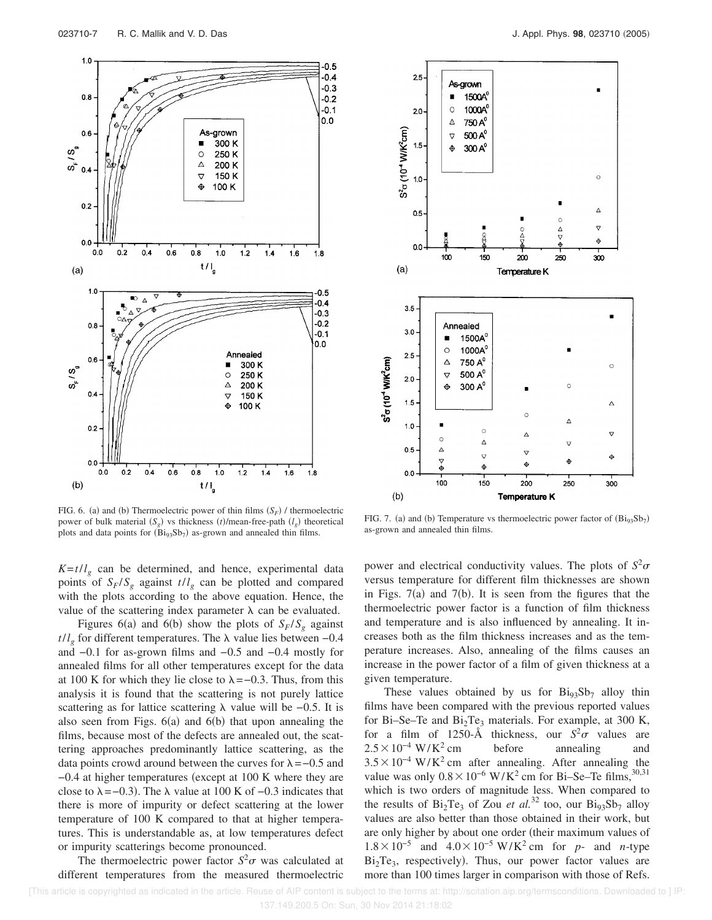

FIG. 6. (a) and (b) Thermoelectric power of thin films  $(S_F)$  / thermoelectric power of bulk material  $(S_g)$  vs thickness  $(t)/$  mean-free-path  $(l_g)$  theoretical plots and data points for  $(Bi_{93}Sb_7)$  as-grown and annealed thin films.

 $K = t/l<sub>g</sub>$  can be determined, and hence, experimental data points of  $S_F/S_g$  against  $t/l_g$  can be plotted and compared with the plots according to the above equation. Hence, the value of the scattering index parameter  $\lambda$  can be evaluated.

Figures 6(a) and 6(b) show the plots of  $S_F/S_g$  against  $t/l<sub>g</sub>$  for different temperatures. The  $\lambda$  value lies between –0.4 and −0.1 for as-grown films and −0.5 and −0.4 mostly for annealed films for all other temperatures except for the data at 100 K for which they lie close to  $\lambda = -0.3$ . Thus, from this analysis it is found that the scattering is not purely lattice scattering as for lattice scattering  $\lambda$  value will be −0.5. It is also seen from Figs.  $6(a)$  and  $6(b)$  that upon annealing the films, because most of the defects are annealed out, the scattering approaches predominantly lattice scattering, as the data points crowd around between the curves for  $\lambda = -0.5$  and  $-0.4$  at higher temperatures (except at 100 K where they are close to  $\lambda = -0.3$ ). The  $\lambda$  value at 100 K of -0.3 indicates that there is more of impurity or defect scattering at the lower temperature of 100 K compared to that at higher temperatures. This is understandable as, at low temperatures defect or impurity scatterings become pronounced.

The thermoelectric power factor  $S^2 \sigma$  was calculated at different temperatures from the measured thermoelectric



FIG. 7. (a) and (b) Temperature vs thermoelectric power factor of  $(Bi_{93}Sb_7)$ as-grown and annealed thin films.

power and electrical conductivity values. The plots of  $S^2 \sigma$ versus temperature for different film thicknesses are shown in Figs.  $7(a)$  and  $7(b)$ . It is seen from the figures that the thermoelectric power factor is a function of film thickness and temperature and is also influenced by annealing. It increases both as the film thickness increases and as the temperature increases. Also, annealing of the films causes an increase in the power factor of a film of given thickness at a given temperature.

These values obtained by us for  $\text{Bi}_{93}\text{S}_{7}$  alloy thin films have been compared with the previous reported values for Bi–Se–Te and  $Bi<sub>2</sub>Te<sub>3</sub>$  materials. For example, at 300 K, for a film of 1250- $\AA$  thickness, our  $S^2\sigma$  values are  $2.5\times10^{-4}$  W/K<sup>2</sup> cm before annealing and  $3.5 \times 10^{-4}$  W/K<sup>2</sup> cm after annealing. After annealing the value was only  $0.8 \times 10^{-6}$  W/K<sup>2</sup> cm for Bi–Se–Te films,<sup>30,31</sup> which is two orders of magnitude less. When compared to the results of  $Bi_2Te_3$  of Zou *et al.*<sup>32</sup> too, our  $Bi_{93}Sb_7$  alloy values are also better than those obtained in their work, but are only higher by about one order (their maximum values of  $1.8 \times 10^{-5}$  and  $4.0 \times 10^{-5}$  W/K<sup>2</sup> cm for *p*- and *n*-type  $Bi<sub>2</sub>Te<sub>3</sub>$ , respectively). Thus, our power factor values are more than 100 times larger in comparison with those of Refs.